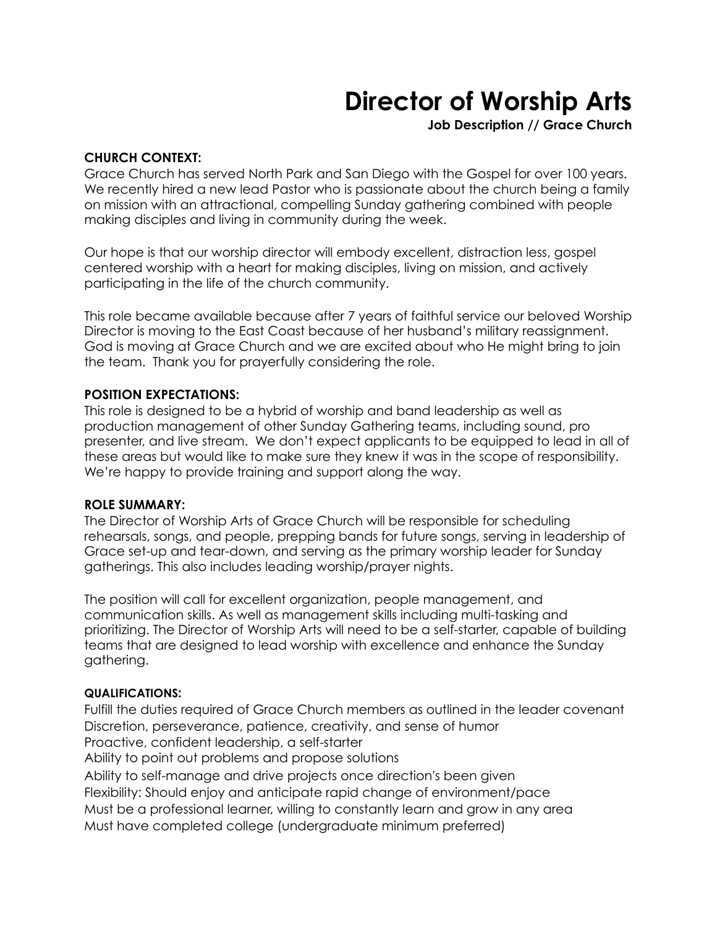# **Director of Worship Arts**

**Job Description // Grace Church** 

#### **CHURCH CONTEXT:**

Grace Church has served North Park and San Diego with the Gospel for over 100 years. We recently hired a new lead Pastor who is passionate about the church being a family on mission with an attractional, compelling Sunday gathering combined with people making disciples and living in community during the week.

Our hope is that our worship director will embody excellent, distraction less, gospel centered worship with a heart for making disciples, living on mission, and actively participating in the life of the church community.

This role became available because after 7 years of faithful service our beloved Worship Director is moving to the East Coast because of her husband's military reassignment. God is moving at Grace Church and we are excited about who He might bring to join the team. Thank you for prayerfully considering the role.

#### **POSITION EXPECTATIONS:**

This role is designed to be a hybrid of worship and band leadership as well as production management of other Sunday Gathering teams, including sound, pro presenter, and live stream. We don't expect applicants to be equipped to lead in all of these areas but would like to make sure they knew it was in the scope of responsibility. We're happy to provide training and support along the way.

#### **ROLE SUMMARY:**

The Director of Worship Arts of Grace Church will be responsible for scheduling rehearsals, songs, and people, prepping bands for future songs, serving in leadership of Grace set-up and tear-down, and serving as the primary worship leader for Sunday gatherings. This also includes leading worship/prayer nights.

The position will call for excellent organization, people management, and communication skills. As well as management skills including multi-tasking and prioritizing. The Director of Worship Arts will need to be a self-starter, capable of building teams that are designed to lead worship with excellence and enhance the Sunday gathering.

#### **QUALIFICATIONS:**

Fulfill the duties required of Grace Church members as outlined in the leader covenant Discretion, perseverance, patience, creativity, and sense of humor Proactive, confident leadership, a self-starter

Ability to point out problems and propose solutions

Ability to self-manage and drive projects once direction's been given Flexibility: Should enjoy and anticipate rapid change of environment/pace

Must be a professional learner, willing to constantly learn and grow in any area

Must have completed college (undergraduate minimum preferred)